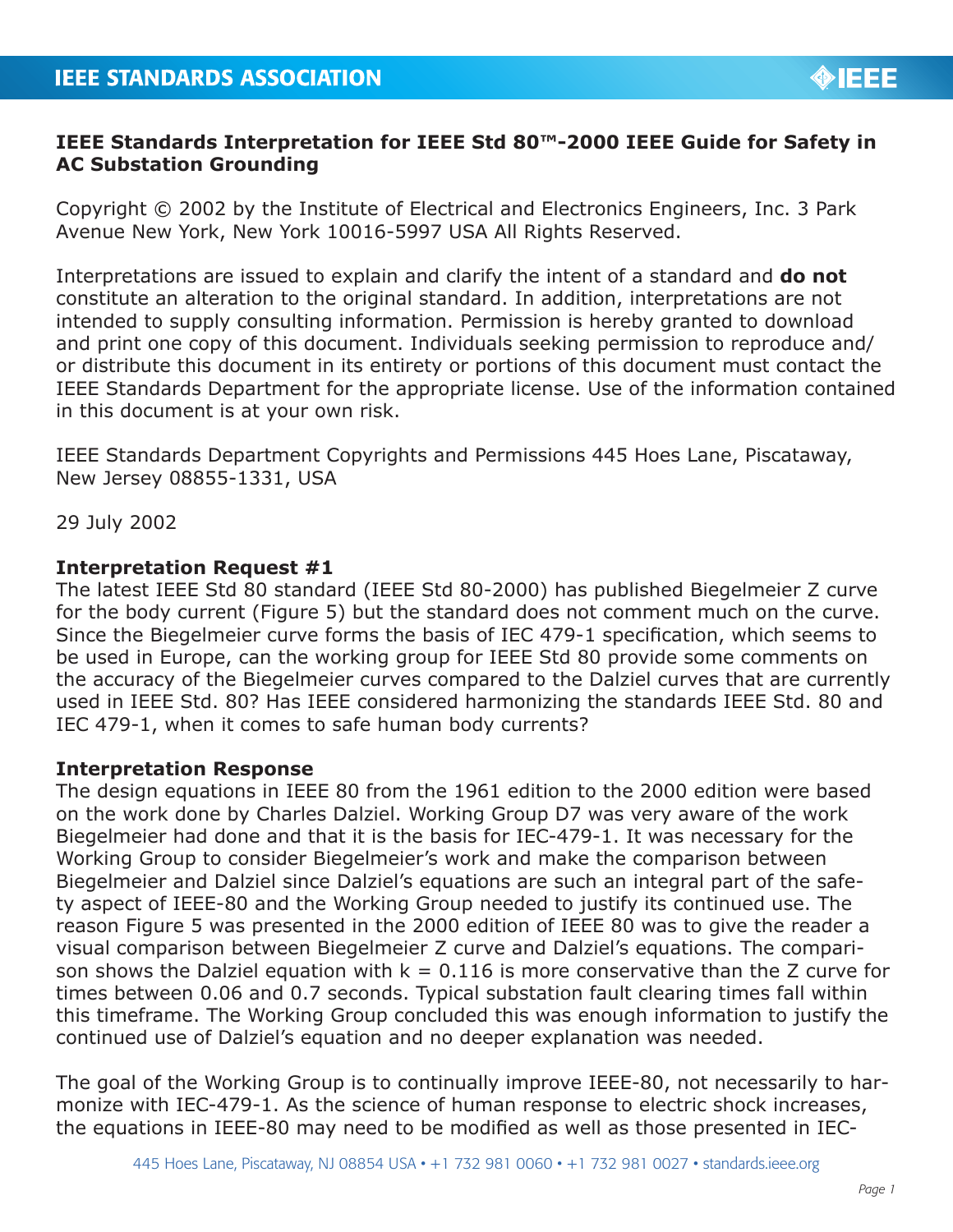## **IEEE Standards Interpretation for IEEE Std 80™-2000 IEEE Guide for Safety in AC Substation Grounding**

Copyright © 2002 by the Institute of Electrical and Electronics Engineers, Inc. 3 Park Avenue New York, New York 10016-5997 USA All Rights Reserved.

Interpretations are issued to explain and clarify the intent of a standard and **do not** constitute an alteration to the original standard. In addition, interpretations are not intended to supply consulting information. Permission is hereby granted to download and print one copy of this document. Individuals seeking permission to reproduce and/ or distribute this document in its entirety or portions of this document must contact the IEEE Standards Department for the appropriate license. Use of the information contained in this document is at your own risk.

IEEE Standards Department Copyrights and Permissions 445 Hoes Lane, Piscataway, New Jersey 08855-1331, USA

29 July 2002

## **Interpretation Request #1**

The latest IEEE Std 80 standard (IEEE Std 80-2000) has published Biegelmeier Z curve for the body current (Figure 5) but the standard does not comment much on the curve. Since the Biegelmeier curve forms the basis of IEC 479-1 specification, which seems to be used in Europe, can the working group for IEEE Std 80 provide some comments on the accuracy of the Biegelmeier curves compared to the Dalziel curves that are currently used in IEEE Std. 80? Has IEEE considered harmonizing the standards IEEE Std. 80 and IEC 479-1, when it comes to safe human body currents?

## **Interpretation Response**

The design equations in IEEE 80 from the 1961 edition to the 2000 edition were based on the work done by Charles Dalziel. Working Group D7 was very aware of the work Biegelmeier had done and that it is the basis for IEC-479-1. It was necessary for the Working Group to consider Biegelmeier's work and make the comparison between Biegelmeier and Dalziel since Dalziel's equations are such an integral part of the safety aspect of IEEE-80 and the Working Group needed to justify its continued use. The reason Figure 5 was presented in the 2000 edition of IEEE 80 was to give the reader a visual comparison between Biegelmeier Z curve and Dalziel's equations. The comparison shows the Dalziel equation with  $k = 0.116$  is more conservative than the Z curve for times between 0.06 and 0.7 seconds. Typical substation fault clearing times fall within this timeframe. The Working Group concluded this was enough information to justify the continued use of Dalziel's equation and no deeper explanation was needed.

The goal of the Working Group is to continually improve IEEE-80, not necessarily to harmonize with IEC-479-1. As the science of human response to electric shock increases, the equations in IEEE-80 may need to be modified as well as those presented in IEC-